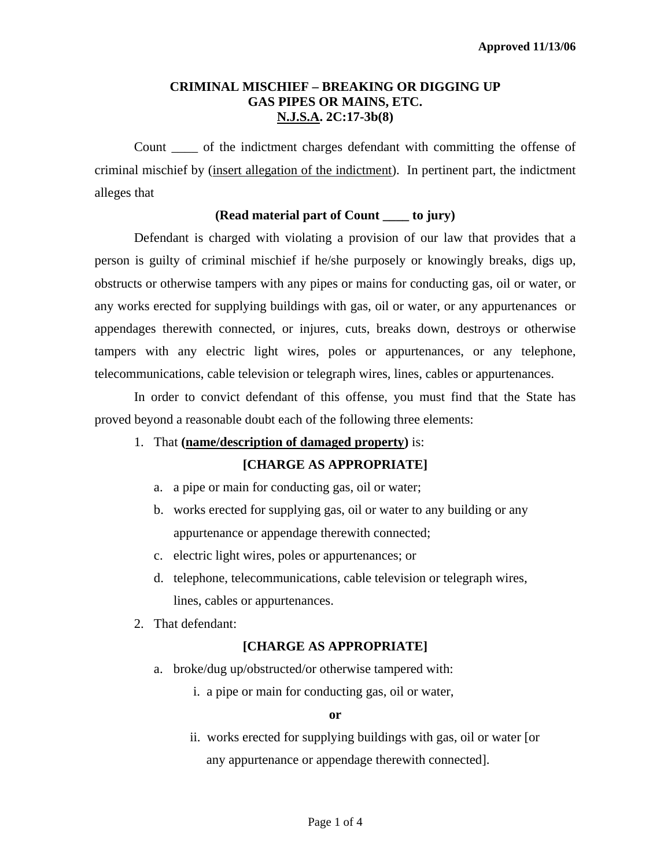## **CRIMINAL MISCHIEF – BREAKING OR DIGGING UP GAS PIPES OR MAINS, ETC. N.J.S.A. 2C:17-3b(8)**

Count \_\_\_\_ of the indictment charges defendant with committing the offense of criminal mischief by (insert allegation of the indictment). In pertinent part, the indictment alleges that

## **(Read material part of Count \_\_\_\_ to jury)**

Defendant is charged with violating a provision of our law that provides that a person is guilty of criminal mischief if he/she purposely or knowingly breaks, digs up, obstructs or otherwise tampers with any pipes or mains for conducting gas, oil or water, or any works erected for supplying buildings with gas, oil or water, or any appurtenances or appendages therewith connected, or injures, cuts, breaks down, destroys or otherwise tampers with any electric light wires, poles or appurtenances, or any telephone, telecommunications, cable television or telegraph wires, lines, cables or appurtenances.

 In order to convict defendant of this offense, you must find that the State has proved beyond a reasonable doubt each of the following three elements:

1. That **(name/description of damaged property)** is:

# **[CHARGE AS APPROPRIATE]**

- a. a pipe or main for conducting gas, oil or water;
- b. works erected for supplying gas, oil or water to any building or any appurtenance or appendage therewith connected;
- c. electric light wires, poles or appurtenances; or
- d. telephone, telecommunications, cable television or telegraph wires, lines, cables or appurtenances.
- 2. That defendant:

# **[CHARGE AS APPROPRIATE]**

- <span id="page-0-0"></span> a. broke/dug up/obstructed/or otherwise tampered with:
	- i. a pipe or main for conducting gas, oil or water,

### **or**

 ii. works erected for supplying buildings with gas, oil or water [or any appurtenance or appendage therewith connected].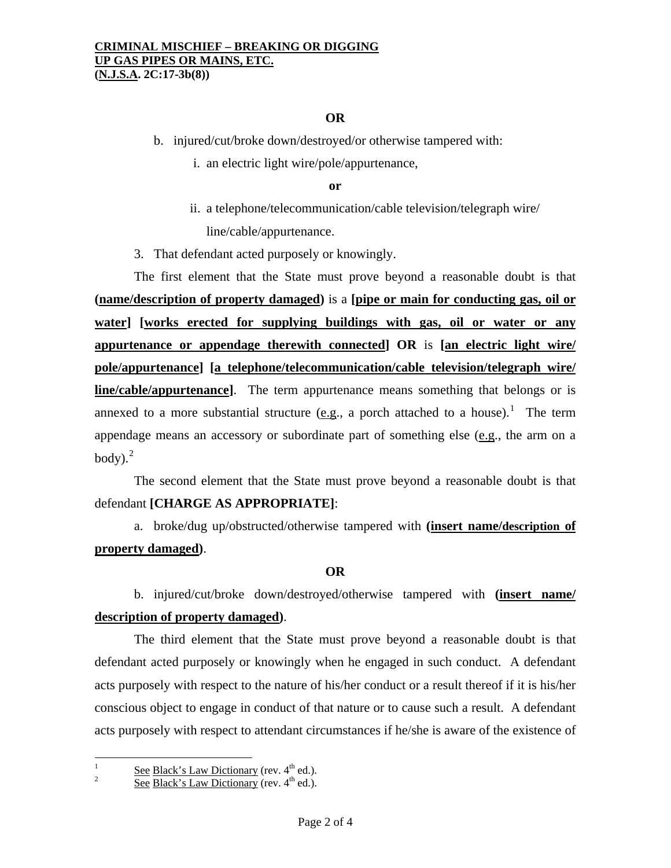## **OR**

b. injured/cut/broke down/destroyed/or otherwise tampered with:

i. an electric light wire/pole/appurtenance,

### **or**

 ii. a telephone/telecommunication/cable television/telegraph wire/ line/cable/appurtenance.

3. That defendant acted purposely or knowingly.

 The first element that the State must prove beyond a reasonable doubt is that **(name/description of property damaged)** is a **[pipe or main for conducting gas, oil or water] [works erected for supplying buildings with gas, oil or water or any appurtenance or appendage therewith connected] OR** is **[an electric light wire/ pole/appurtenance] [a telephone/telecommunication/cable television/telegraph wire/ line/cable/appurtenance]**. The term appurtenance means something that belongs or is annexed to a more substantial structure (e.g., a porch attached to a house).<sup>[1](#page-0-0)</sup> The term appendage means an accessory or subordinate part of something else (e.g., the arm on a body). $^{2}$  $^{2}$  $^{2}$ 

 The second element that the State must prove beyond a reasonable doubt is that defendant **[CHARGE AS APPROPRIATE]**:

 a. broke/dug up/obstructed/otherwise tampered with **(insert name/description of property damaged)**.

### **OR**

 b. injured/cut/broke down/destroyed/otherwise tampered with **(insert name/ description of property damaged)**.

 The third element that the State must prove beyond a reasonable doubt is that defendant acted purposely or knowingly when he engaged in such conduct. A defendant acts purposely with respect to the nature of his/her conduct or a result thereof if it is his/her conscious object to engage in conduct of that nature or to cause such a result. A defendant acts purposely with respect to attendant circumstances if he/she is aware of the existence of

<span id="page-1-1"></span><span id="page-1-0"></span> $\frac{1}{1}$  $\frac{1}{2}$  See Black's Law Dictionary (rev. 4<sup>th</sup> ed.).

See Black's Law Dictionary (rev.  $4<sup>th</sup>$  ed.).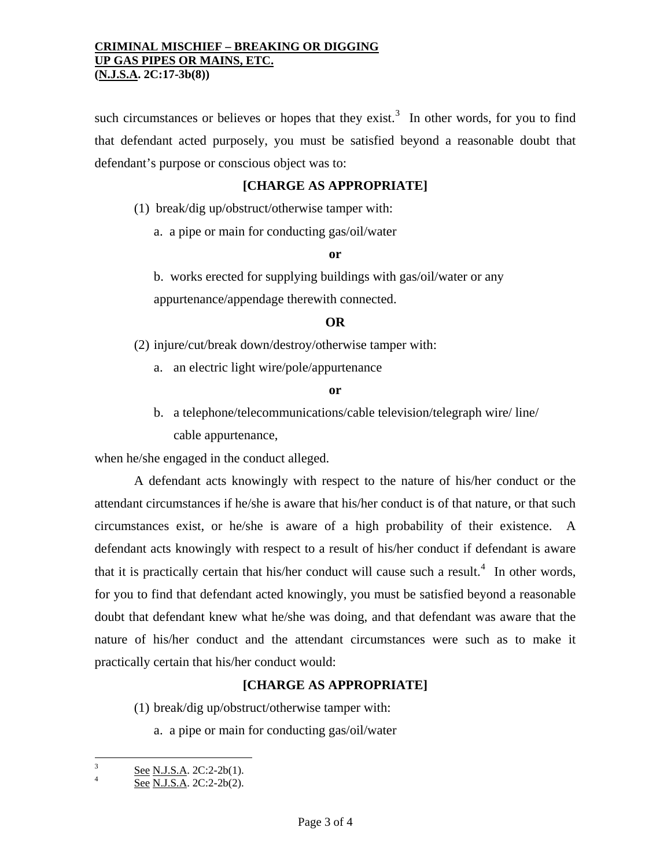such circumstances or believes or hopes that they exist.<sup>[3](#page-1-1)</sup> In other words, for you to find that defendant acted purposely, you must be satisfied beyond a reasonable doubt that defendant's purpose or conscious object was to:

## **[CHARGE AS APPROPRIATE]**

(1) break/dig up/obstruct/otherwise tamper with:

a. a pipe or main for conducting gas/oil/water

**or** 

 b. works erected for supplying buildings with gas/oil/water or any appurtenance/appendage therewith connected.

### **OR**

(2) injure/cut/break down/destroy/otherwise tamper with:

a. an electric light wire/pole/appurtenance

#### **or**

 b. a telephone/telecommunications/cable television/telegraph wire/ line/ cable appurtenance,

when he/she engaged in the conduct alleged.

 A defendant acts knowingly with respect to the nature of his/her conduct or the attendant circumstances if he/she is aware that his/her conduct is of that nature, or that such circumstances exist, or he/she is aware of a high probability of their existence. A defendant acts knowingly with respect to a result of his/her conduct if defendant is aware that it is practically certain that his/her conduct will cause such a result.<sup>[4](#page-2-0)</sup> In other words, for you to find that defendant acted knowingly, you must be satisfied beyond a reasonable doubt that defendant knew what he/she was doing, and that defendant was aware that the nature of his/her conduct and the attendant circumstances were such as to make it practically certain that his/her conduct would:

## **[CHARGE AS APPROPRIATE]**

(1) break/dig up/obstruct/otherwise tamper with:

a. a pipe or main for conducting gas/oil/water

 3  $\frac{3}{4}$  See N.J.S.A. 2C:2-2b(1).

<span id="page-2-0"></span>See N.J.S.A. 2C:2-2b(2).